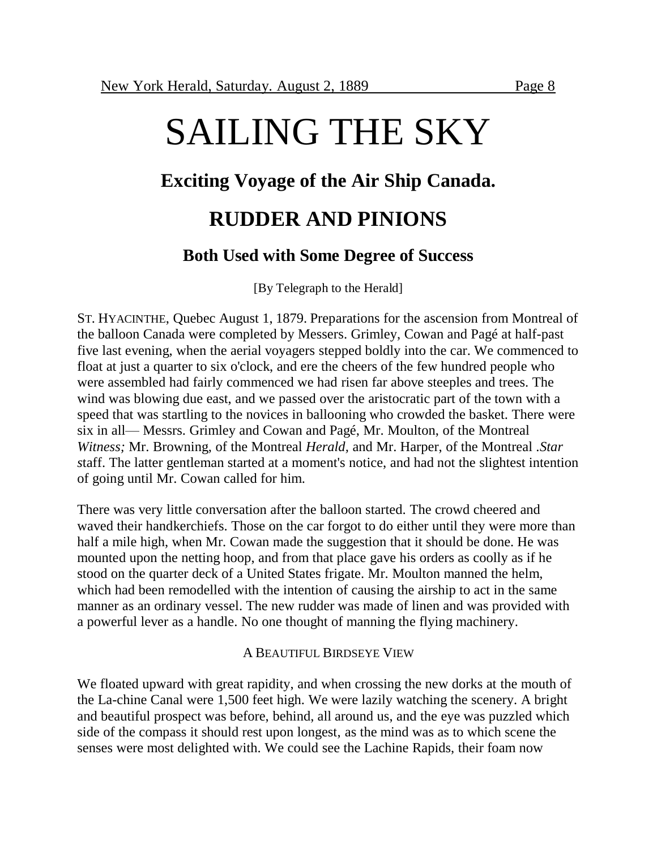# **Exciting Voyage of the Air Ship Canada.**

# **RUDDER AND PINIONS**

## **Both Used with Some Degree of Success**

[By Telegraph to the Herald]

ST. HYACINTHE, Quebec August 1, 1879. Preparations for the ascension from Montreal of the balloon Canada were completed by Messers. Grimley, Cowan and Pagé at half-past five last evening, when the aerial voyagers stepped boldly into the car. We commenced to float at just a quarter to six o'clock, and ere the cheers of the few hundred people who were assembled had fairly commenced we had risen far above steeples and trees. The wind was blowing due east, and we passed over the aristocratic part of the town with a speed that was startling to the novices in ballooning who crowded the basket. There were six in all— Messrs. Grimley and Cowan and Pagé, Mr. Moulton, of the Montreal *Witness;* Mr. Browning, of the Montreal *Herald,* and Mr. Harper, of the Montreal .*Star s*taff. The latter gentleman started at a moment's notice, and had not the slightest intention of going until Mr. Cowan called for him.

There was very little conversation after the balloon started. The crowd cheered and waved their handkerchiefs. Those on the car forgot to do either until they were more than half a mile high, when Mr. Cowan made the suggestion that it should be done. He was mounted upon the netting hoop, and from that place gave his orders as coolly as if he stood on the quarter deck of a United States frigate. Mr. Moulton manned the helm, which had been remodelled with the intention of causing the airship to act in the same manner as an ordinary vessel. The new rudder was made of linen and was provided with a powerful lever as a handle. No one thought of manning the flying machinery.

## A BEAUTIFUL BIRDSEYE VIEW

We floated upward with great rapidity, and when crossing the new dorks at the mouth of the La-chine Canal were 1,500 feet high. We were lazily watching the scenery. A bright and beautiful prospect was before, behind, all around us, and the eye was puzzled which side of the compass it should rest upon longest, as the mind was as to which scene the senses were most delighted with. We could see the Lachine Rapids, their foam now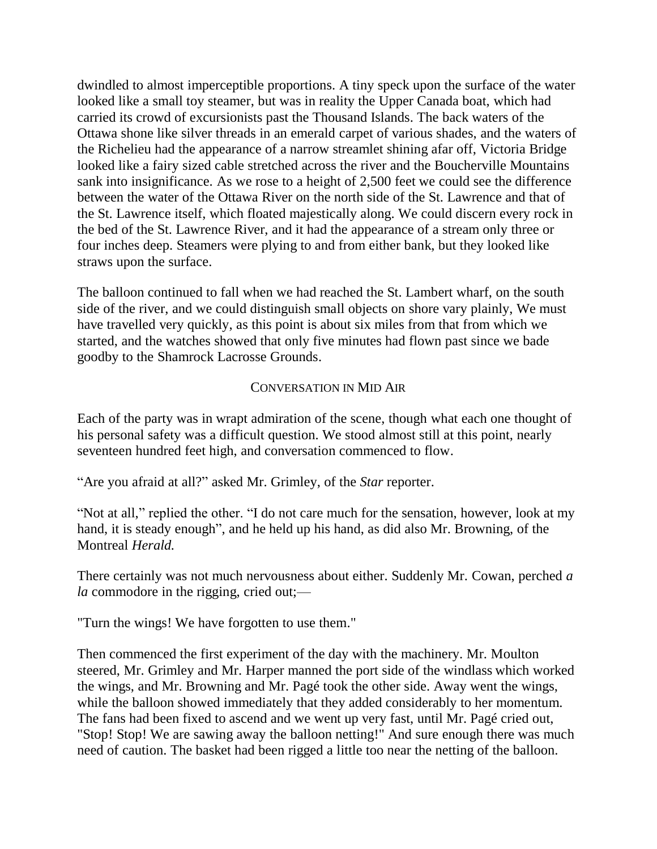dwindled to almost imperceptible proportions. A tiny speck upon the surface of the water looked like a small toy steamer, but was in reality the Upper Canada boat, which had carried its crowd of excursionists past the Thousand Islands. The back waters of the Ottawa shone like silver threads in an emerald carpet of various shades, and the waters of the Richelieu had the appearance of a narrow streamlet shining afar off, Victoria Bridge looked like a fairy sized cable stretched across the river and the Boucherville Mountains sank into insignificance. As we rose to a height of 2,500 feet we could see the difference between the water of the Ottawa River on the north side of the St. Lawrence and that of the St. Lawrence itself, which floated majestically along. We could discern every rock in the bed of the St. Lawrence River, and it had the appearance of a stream only three or four inches deep. Steamers were plying to and from either bank, but they looked like straws upon the surface.

The balloon continued to fall when we had reached the St. Lambert wharf, on the south side of the river, and we could distinguish small objects on shore vary plainly, We must have travelled very quickly, as this point is about six miles from that from which we started, and the watches showed that only five minutes had flown past since we bade goodby to the Shamrock Lacrosse Grounds.

## CONVERSATION IN MID AIR

Each of the party was in wrapt admiration of the scene, though what each one thought of his personal safety was a difficult question. We stood almost still at this point, nearly seventeen hundred feet high, and conversation commenced to flow.

"Are you afraid at all?" asked Mr. Grimley, of the *Star* reporter.

"Not at all," replied the other. "I do not care much for the sensation, however, look at my hand, it is steady enough", and he held up his hand, as did also Mr. Browning, of the Montreal *Herald.*

There certainly was not much nervousness about either. Suddenly Mr. Cowan, perched *a la* commodore in the rigging, cried out;—

"Turn the wings! We have forgotten to use them."

Then commenced the first experiment of the day with the machinery. Mr. Moulton steered, Mr. Grimley and Mr. Harper manned the port side of the windlass which worked the wings, and Mr. Browning and Mr. Pagé took the other side. Away went the wings, while the balloon showed immediately that they added considerably to her momentum. The fans had been fixed to ascend and we went up very fast, until Mr. Pagé cried out, "Stop! Stop! We are sawing away the balloon netting!" And sure enough there was much need of caution. The basket had been rigged a little too near the netting of the balloon.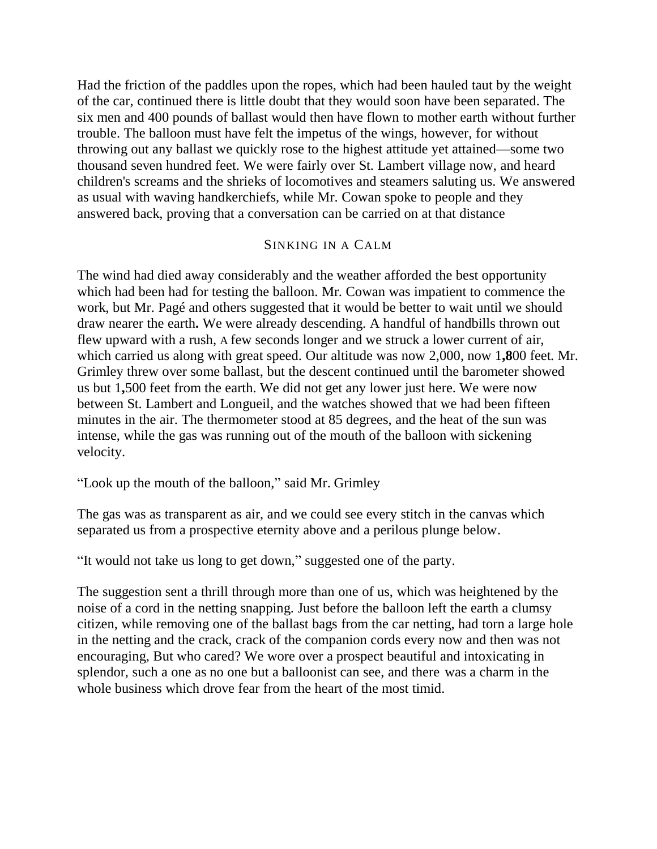Had the friction of the paddles upon the ropes, which had been hauled taut by the weight of the car, continued there is little doubt that they would soon have been separated. The six men and 400 pounds of ballast would then have flown to mother earth without further trouble. The balloon must have felt the impetus of the wings, however, for without throwing out any ballast we quickly rose to the highest attitude yet attained—some two thousand seven hundred feet. We were fairly over St. Lambert village now, and heard children's screams and the shrieks of locomotives and steamers saluting us. We answered as usual with waving handkerchiefs, while Mr. Cowan spoke to people and they answered back, proving that a conversation can be carried on at that distance

#### SINKING IN A CALM

The wind had died away considerably and the weather afforded the best opportunity which had been had for testing the balloon. Mr. Cowan was impatient to commence the work, but Mr. Pagé and others suggested that it would be better to wait until we should draw nearer the earth**.** We were already descending. A handful of handbills thrown out flew upward with a rush, A few seconds longer and we struck a lower current of air, which carried us along with great speed. Our altitude was now 2,000, now 1**,8**00 feet. Mr. Grimley threw over some ballast, but the descent continued until the barometer showed us but 1**,**500 feet from the earth. We did not get any lower just here. We were now between St. Lambert and Longueil, and the watches showed that we had been fifteen minutes in the air. The thermometer stood at 85 degrees, and the heat of the sun was intense, while the gas was running out of the mouth of the balloon with sickening velocity.

"Look up the mouth of the balloon," said Mr. Grimley

The gas was as transparent as air, and we could see every stitch in the canvas which separated us from a prospective eternity above and a perilous plunge below.

"It would not take us long to get down," suggested one of the party.

The suggestion sent a thrill through more than one of us, which was heightened by the noise of a cord in the netting snapping. Just before the balloon left the earth a clumsy citizen, while removing one of the ballast bags from the car netting, had torn a large hole in the netting and the crack, crack of the companion cords every now and then was not encouraging, But who cared? We wore over a prospect beautiful and intoxicating in splendor, such a one as no one but a balloonist can see, and there was a charm in the whole business which drove fear from the heart of the most timid.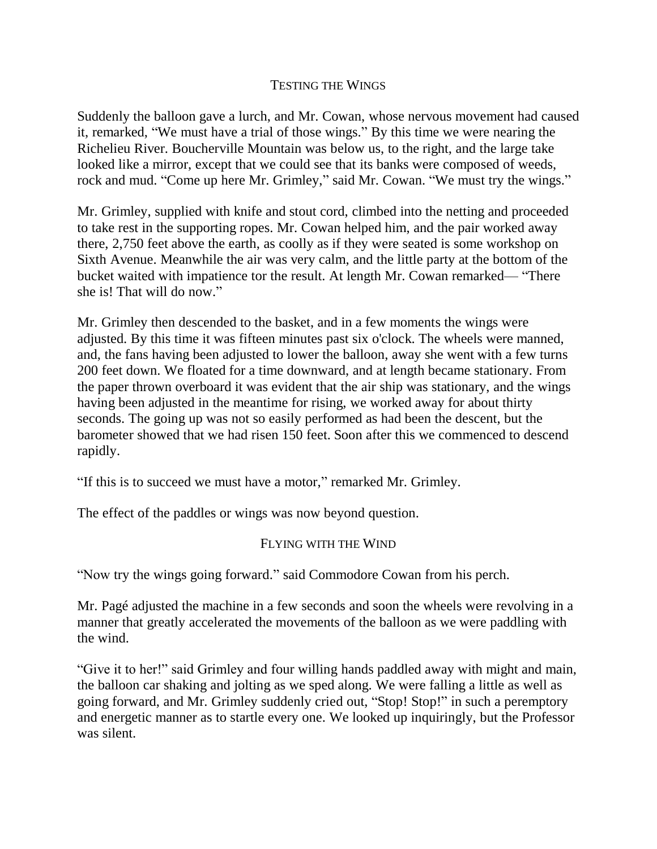### TESTING THE WINGS

Suddenly the balloon gave a lurch, and Mr. Cowan, whose nervous movement had caused it, remarked, "We must have a trial of those wings." By this time we were nearing the Richelieu River. Boucherville Mountain was below us, to the right, and the large take looked like a mirror, except that we could see that its banks were composed of weeds, rock and mud. "Come up here Mr. Grimley," said Mr. Cowan. "We must try the wings."

Mr. Grimley, supplied with knife and stout cord, climbed into the netting and proceeded to take rest in the supporting ropes. Mr. Cowan helped him, and the pair worked away there, 2,750 feet above the earth, as coolly as if they were seated is some workshop on Sixth Avenue. Meanwhile the air was very calm, and the little party at the bottom of the bucket waited with impatience tor the result. At length Mr. Cowan remarked— "There she is! That will do now."

Mr. Grimley then descended to the basket, and in a few moments the wings were adjusted. By this time it was fifteen minutes past six o'clock. The wheels were manned, and, the fans having been adjusted to lower the balloon, away she went with a few turns 200 feet down. We floated for a time downward, and at length became stationary. From the paper thrown overboard it was evident that the air ship was stationary, and the wings having been adjusted in the meantime for rising, we worked away for about thirty seconds. The going up was not so easily performed as had been the descent, but the barometer showed that we had risen 150 feet. Soon after this we commenced to descend rapidly.

"If this is to succeed we must have a motor," remarked Mr. Grimley.

The effect of the paddles or wings was now beyond question.

## FLYING WITH THE WIND

"Now try the wings going forward." said Commodore Cowan from his perch.

Mr. Pagé adjusted the machine in a few seconds and soon the wheels were revolving in a manner that greatly accelerated the movements of the balloon as we were paddling with the wind.

"Give it to her!" said Grimley and four willing hands paddled away with might and main, the balloon car shaking and jolting as we sped along. We were falling a little as well as going forward, and Mr. Grimley suddenly cried out, "Stop! Stop!" in such a peremptory and energetic manner as to startle every one. We looked up inquiringly, but the Professor was silent.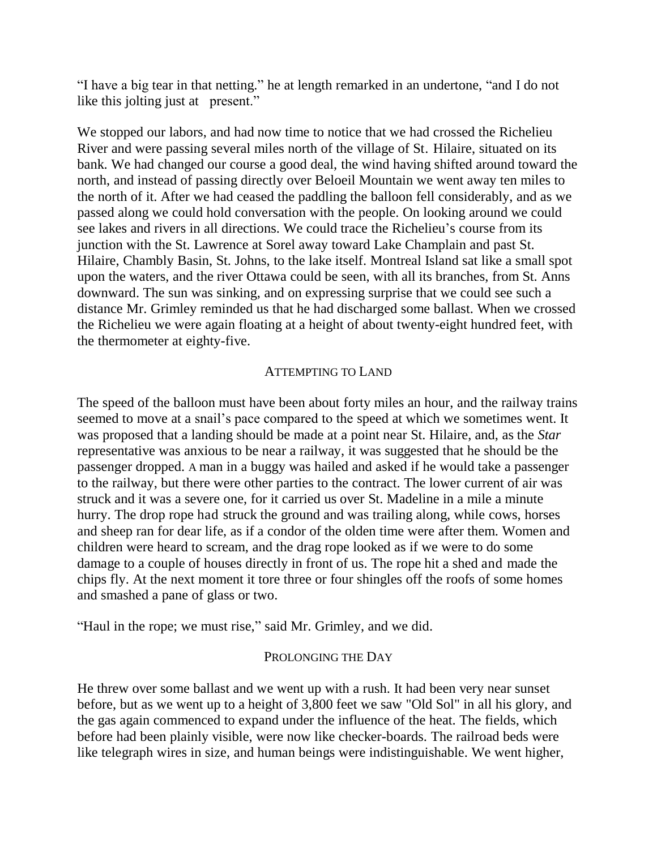"I have a big tear in that netting." he at length remarked in an undertone, "and I do not like this jolting just at present."

We stopped our labors, and had now time to notice that we had crossed the Richelieu River and were passing several miles north of the village of St. Hilaire, situated on its bank. We had changed our course a good deal, the wind having shifted around toward the north, and instead of passing directly over Beloeil Mountain we went away ten miles to the north of it. After we had ceased the paddling the balloon fell considerably, and as we passed along we could hold conversation with the people. On looking around we could see lakes and rivers in all directions. We could trace the Richelieu's course from its junction with the St. Lawrence at Sorel away toward Lake Champlain and past St. Hilaire, Chambly Basin, St. Johns, to the lake itself. Montreal Island sat like a small spot upon the waters, and the river Ottawa could be seen, with all its branches, from St. Anns downward. The sun was sinking, and on expressing surprise that we could see such a distance Mr. Grimley reminded us that he had discharged some ballast. When we crossed the Richelieu we were again floating at a height of about twenty-eight hundred feet, with the thermometer at eighty-five.

#### ATTEMPTING TO LAND

The speed of the balloon must have been about forty miles an hour, and the railway trains seemed to move at a snail's pace compared to the speed at which we sometimes went. It was proposed that a landing should be made at a point near St. Hilaire, and, as the *Star*  representative was anxious to be near a railway, it was suggested that he should be the passenger dropped. A man in a buggy was hailed and asked if he would take a passenger to the railway, but there were other parties to the contract. The lower current of air was struck and it was a severe one, for it carried us over St. Madeline in a mile a minute hurry. The drop rope had struck the ground and was trailing along, while cows, horses and sheep ran for dear life, as if a condor of the olden time were after them. Women and children were heard to scream, and the drag rope looked as if we were to do some damage to a couple of houses directly in front of us. The rope hit a shed and made the chips fly. At the next moment it tore three or four shingles off the roofs of some homes and smashed a pane of glass or two.

"Haul in the rope; we must rise," said Mr. Grimley, and we did.

#### PROLONGING THE DAY

He threw over some ballast and we went up with a rush. It had been very near sunset before, but as we went up to a height of 3,800 feet we saw "Old Sol" in all his glory, and the gas again commenced to expand under the influence of the heat. The fields, which before had been plainly visible, were now like checker-boards. The railroad beds were like telegraph wires in size, and human beings were indistinguishable. We went higher,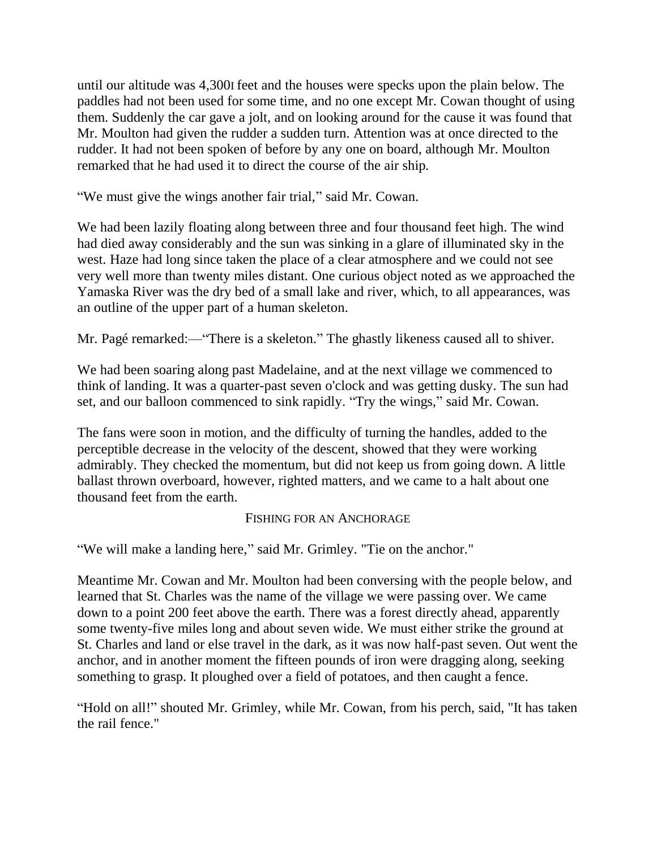until our altitude was 4,300I feet and the houses were specks upon the plain below. The paddles had not been used for some time, and no one except Mr. Cowan thought of using them. Suddenly the car gave a jolt, and on looking around for the cause it was found that Mr. Moulton had given the rudder a sudden turn. Attention was at once directed to the rudder. It had not been spoken of before by any one on board, although Mr. Moulton remarked that he had used it to direct the course of the air ship.

"We must give the wings another fair trial," said Mr. Cowan.

We had been lazily floating along between three and four thousand feet high. The wind had died away considerably and the sun was sinking in a glare of illuminated sky in the west. Haze had long since taken the place of a clear atmosphere and we could not see very well more than twenty miles distant. One curious object noted as we approached the Yamaska River was the dry bed of a small lake and river, which, to all appearances, was an outline of the upper part of a human skeleton.

Mr. Pagé remarked:—"There is a skeleton." The ghastly likeness caused all to shiver.

We had been soaring along past Madelaine, and at the next village we commenced to think of landing. It was a quarter-past seven o'clock and was getting dusky. The sun had set, and our balloon commenced to sink rapidly. "Try the wings," said Mr. Cowan.

The fans were soon in motion, and the difficulty of turning the handles, added to the perceptible decrease in the velocity of the descent, showed that they were working admirably. They checked the momentum, but did not keep us from going down. A little ballast thrown overboard, however, righted matters, and we came to a halt about one thousand feet from the earth.

### FISHING FOR AN ANCHORAGE

"We will make a landing here," said Mr. Grimley. "Tie on the anchor."

Meantime Mr. Cowan and Mr. Moulton had been conversing with the people below, and learned that St. Charles was the name of the village we were passing over. We came down to a point 200 feet above the earth. There was a forest directly ahead, apparently some twenty-five miles long and about seven wide. We must either strike the ground at St. Charles and land or else travel in the dark, as it was now half-past seven. Out went the anchor, and in another moment the fifteen pounds of iron were dragging along, seeking something to grasp. It ploughed over a field of potatoes, and then caught a fence.

"Hold on all!" shouted Mr. Grimley, while Mr. Cowan, from his perch, said, "It has taken the rail fence."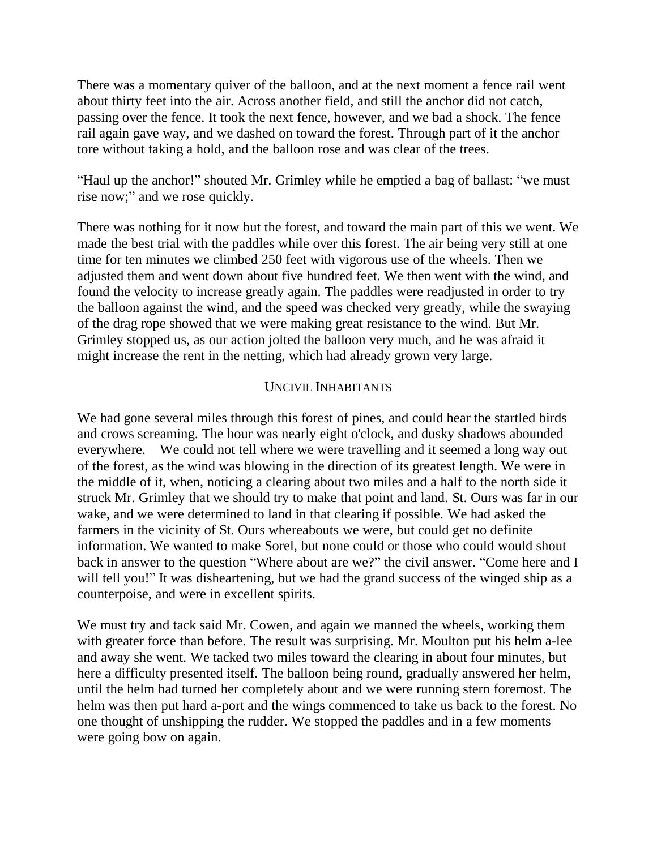There was a momentary quiver of the balloon, and at the next moment a fence rail went about thirty feet into the air. Across another field, and still the anchor did not catch, passing over the fence. It took the next fence, however, and we bad a shock. The fence rail again gave way, and we dashed on toward the forest. Through part of it the anchor tore without taking a hold, and the balloon rose and was clear of the trees.

"Haul up the anchor!" shouted Mr. Grimley while he emptied a bag of ballast: "we must rise now;" and we rose quickly.

There was nothing for it now but the forest, and toward the main part of this we went. We made the best trial with the paddles while over this forest. The air being very still at one time for ten minutes we climbed 250 feet with vigorous use of the wheels. Then we adjusted them and went down about five hundred feet. We then went with the wind, and found the velocity to increase greatly again. The paddles were readjusted in order to try the balloon against the wind, and the speed was checked very greatly, while the swaying of the drag rope showed that we were making great resistance to the wind. But Mr. Grimley stopped us, as our action jolted the balloon very much, and he was afraid it might increase the rent in the netting, which had already grown very large.

## UNCIVIL INHABITANTS

We had gone several miles through this forest of pines, and could hear the startled birds and crows screaming. The hour was nearly eight o'clock, and dusky shadows abounded everywhere. We could not tell where we were travelling and it seemed a long way out of the forest, as the wind was blowing in the direction of its greatest length. We were in the middle of it, when, noticing a clearing about two miles and a half to the north side it struck Mr. Grimley that we should try to make that point and land. St. Ours was far in our wake, and we were determined to land in that clearing if possible. We had asked the farmers in the vicinity of St. Ours whereabouts we were, but could get no definite information. We wanted to make Sorel, but none could or those who could would shout back in answer to the question "Where about are we?" the civil answer. "Come here and I will tell you!" It was disheartening, but we had the grand success of the winged ship as a counterpoise, and were in excellent spirits.

We must try and tack said Mr. Cowen, and again we manned the wheels, working them with greater force than before. The result was surprising. Mr. Moulton put his helm a-lee and away she went. We tacked two miles toward the clearing in about four minutes, but here a difficulty presented itself. The balloon being round, gradually answered her helm, until the helm had turned her completely about and we were running stern foremost. The helm was then put hard a-port and the wings commenced to take us back to the forest. No one thought of unshipping the rudder. We stopped the paddles and in a few moments were going bow on again.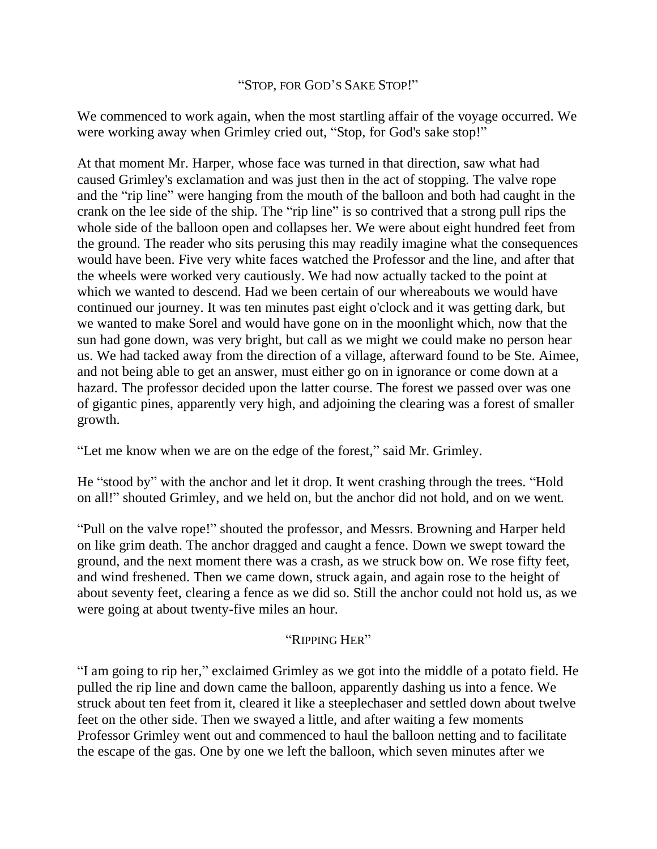## "STOP, FOR GOD'S SAKE STOP!"

We commenced to work again, when the most startling affair of the voyage occurred. We were working away when Grimley cried out, "Stop, for God's sake stop!"

At that moment Mr. Harper, whose face was turned in that direction, saw what had caused Grimley's exclamation and was just then in the act of stopping. The valve rope and the "rip line" were hanging from the mouth of the balloon and both had caught in the crank on the lee side of the ship. The "rip line" is so contrived that a strong pull rips the whole side of the balloon open and collapses her. We were about eight hundred feet from the ground. The reader who sits perusing this may readily imagine what the consequences would have been. Five very white faces watched the Professor and the line, and after that the wheels were worked very cautiously. We had now actually tacked to the point at which we wanted to descend. Had we been certain of our whereabouts we would have continued our journey. It was ten minutes past eight o'clock and it was getting dark, but we wanted to make Sorel and would have gone on in the moonlight which, now that the sun had gone down, was very bright, but call as we might we could make no person hear us. We had tacked away from the direction of a village, afterward found to be Ste. Aimee, and not being able to get an answer, must either go on in ignorance or come down at a hazard. The professor decided upon the latter course. The forest we passed over was one of gigantic pines, apparently very high, and adjoining the clearing was a forest of smaller growth.

"Let me know when we are on the edge of the forest," said Mr. Grimley.

He "stood by" with the anchor and let it drop. It went crashing through the trees. "Hold on all!" shouted Grimley, and we held on, but the anchor did not hold, and on we went.

"Pull on the valve rope!" shouted the professor, and Messrs. Browning and Harper held on like grim death. The anchor dragged and caught a fence. Down we swept toward the ground, and the next moment there was a crash, as we struck bow on. We rose fifty feet, and wind freshened. Then we came down, struck again, and again rose to the height of about seventy feet, clearing a fence as we did so. Still the anchor could not hold us, as we were going at about twenty-five miles an hour.

## "RIPPING HER"

"I am going to rip her," exclaimed Grimley as we got into the middle of a potato field. He pulled the rip line and down came the balloon, apparently dashing us into a fence. We struck about ten feet from it, cleared it like a steeplechaser and settled down about twelve feet on the other side. Then we swayed a little, and after waiting a few moments Professor Grimley went out and commenced to haul the balloon netting and to facilitate the escape of the gas. One by one we left the balloon, which seven minutes after we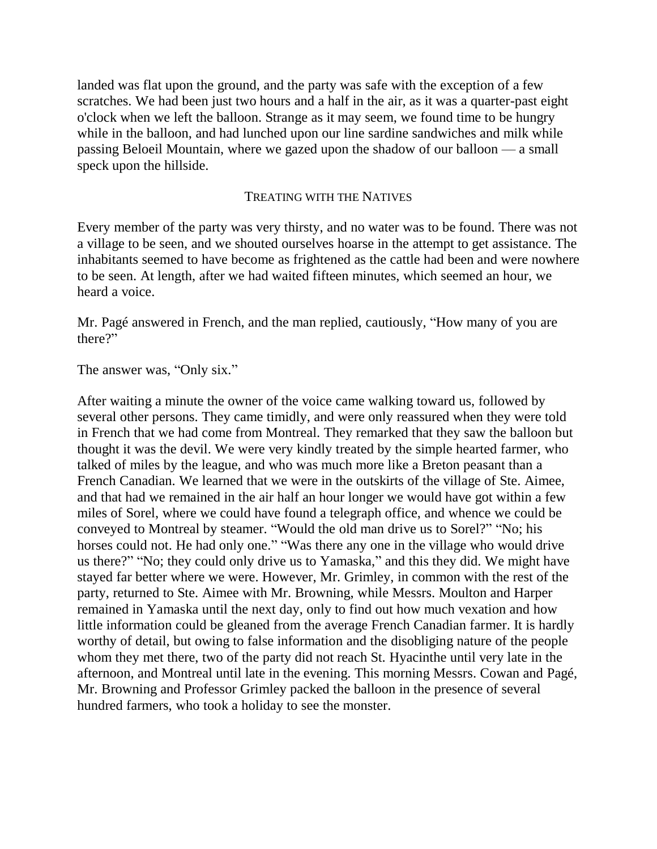landed was flat upon the ground, and the party was safe with the exception of a few scratches. We had been just two hours and a half in the air, as it was a quarter-past eight o'clock when we left the balloon. Strange as it may seem, we found time to be hungry while in the balloon, and had lunched upon our line sardine sandwiches and milk while passing Beloeil Mountain, where we gazed upon the shadow of our balloon — a small speck upon the hillside.

#### TREATING WITH THE NATIVES

Every member of the party was very thirsty, and no water was to be found. There was not a village to be seen, and we shouted ourselves hoarse in the attempt to get assistance. The inhabitants seemed to have become as frightened as the cattle had been and were nowhere to be seen. At length, after we had waited fifteen minutes, which seemed an hour, we heard a voice.

Mr. Pagé answered in French, and the man replied, cautiously, "How many of you are there?"

The answer was, "Only six."

After waiting a minute the owner of the voice came walking toward us, followed by several other persons. They came timidly, and were only reassured when they were told in French that we had come from Montreal. They remarked that they saw the balloon but thought it was the devil. We were very kindly treated by the simple hearted farmer, who talked of miles by the league, and who was much more like a Breton peasant than a French Canadian. We learned that we were in the outskirts of the village of Ste. Aimee, and that had we remained in the air half an hour longer we would have got within a few miles of Sorel, where we could have found a telegraph office, and whence we could be conveyed to Montreal by steamer. "Would the old man drive us to Sorel?" "No; his horses could not. He had only one." "Was there any one in the village who would drive us there?" "No; they could only drive us to Yamaska," and this they did. We might have stayed far better where we were. However, Mr. Grimley, in common with the rest of the party, returned to Ste. Aimee with Mr. Browning, while Messrs. Moulton and Harper remained in Yamaska until the next day, only to find out how much vexation and how little information could be gleaned from the average French Canadian farmer. It is hardly worthy of detail, but owing to false information and the disobliging nature of the people whom they met there, two of the party did not reach St. Hyacinthe until very late in the afternoon, and Montreal until late in the evening. This morning Messrs. Cowan and Pagé, Mr. Browning and Professor Grimley packed the balloon in the presence of several hundred farmers, who took a holiday to see the monster.